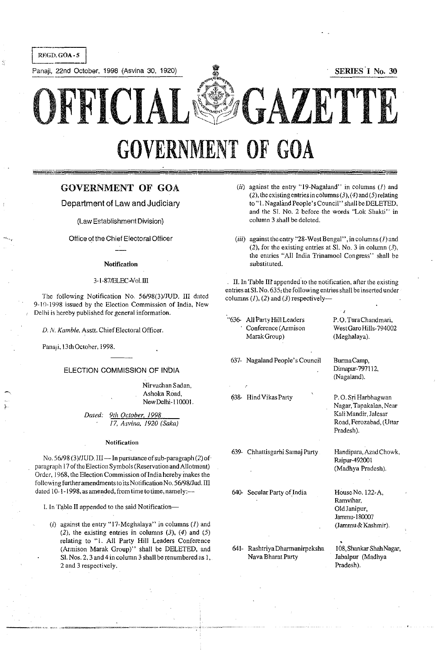Panaji, 22nd October, 1998 (Asvina 30, 1920) **I I SERIES** I No. 30

OFFICIAL~(ll **GAZETTE** GOVERNMENT OF GOA

# GOVERNMENT **OF GOA**

Department of Law and Judiciary

(Law Establishment Division)

Office of the Chief Electoral Officer

## Notification

## 3-1-87/ELEC-Vol.III

The following Notification No. *56/98(3)1JUD.* III dated 9-10-1998 issued by the Election Commission of India, New Delhi is hereby published for general information.

D. N. Kamble, Asstt. Chief Electoral Officer.

Pana<sub>l</sub>i, 13th October, 1998.

## ELECTION COMMISSION OF INblA

Nirvachan Sadan, Ashoka Road, New Delhi-110001.

*Dated: 9th October.* 1998 *17. Asvina. 1920 (Saka)* 

## **Notification**

No. 56/98 (3)/JUD. III -- In pursuance of sub-paragraph (2) of paragraph 17 of the Election Symbols (Reservation and Allotment) Order, 1968, the Election Commission of India hereby makes the followi ng further amendments to its Notification No. *56/98/Jud.* III dated 10-1-1998, as amended, from time to time, namely:---

I. In Table II appended to the said Notification-

(i) against the entry "17-Meghalaya" in columns  $(I)$  and  $(2)$ , the existing entries in columns  $(3)$ ,  $(4)$  and  $(5)$ relating to "I. All Party Hill Leaders Conference (Armison Marak Group)" shall be DELETED, and SI. Nos. 2. 3 and 4 in column 3 shall be renumbered as I. 2 and 3 respectively.

- (ii) against the entry "19-Nagaland" in columns  $(I)$  and (2), the existing entries in columns  $(3)$ ,  $(4)$  and  $(5)$  relating to "1. Nagaland People's Council" shall be DELETED, and the S1. No.2 before the words "Lok Shakti" in column 3 shall be deleted.
- (iii) against the cntry "28-West Bengal", in columns ( $I$ ) and (2), for the existing entries at SI. No. 3 in column  $(3)$ , the entries "All India Trinamool Congress" shall be substituted.

II. In Table III appended to the notification, after the existing entries atSI. No. 635; the following entries shall be inserted under columns  $(I)$ ,  $(2)$  and  $(3)$  respectively--

"636- All Party Hill Leaders **Conference (Armison**  Marak Group)

637- Nagaland People's Council

638- HindVikasParty

639- Chhattisgarhi Samaj Party

640- Secular Party of India

641- RashtriyaDharmanirpeksha Nava Bharat Party

P. O. TuraChandmari, West Garo Hills-794002 (Meghalaya).

BurmaCarnp, Dimapur-797112. (Nagaland).

 $\sim$ 

P. O. Sri Harbhagwan Nagar, Tapakalan, Near Kali Mandir. Jalesar Road. Ferozabad. (Uttar Pradesh).

Handipara, Azad Chowk, Raipur-492001 (Madhya Pradesh).

HouseNo.122-A, Ramvihar. Old Janipur, Jarnmu-180007 (Jarnmu& Kashmir).

• 108, Shankar Shah Nagar, Jabalpur (Madhya Pradesh).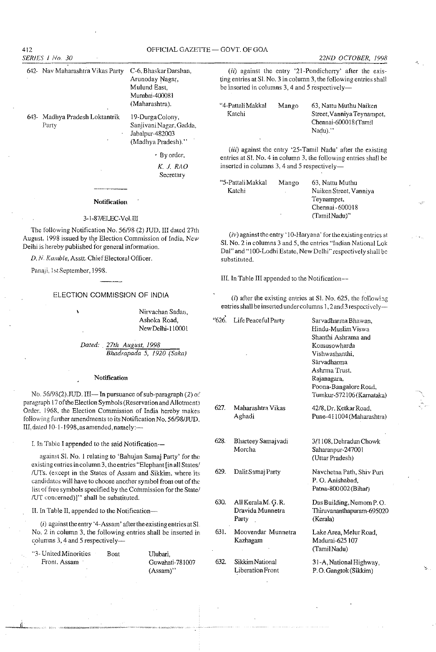412 OFFICIAL GAZETTE - GOVT OF GOA *SERIES* I No. 30 642- Nay Maharashtra Vikas Party C-6.BhaskarDarshan. **Arunoday Nagar,**  Mulund East, Mumbai-400081

643- Madhya Pradesh Loktantrik 19-DurgaColony,

**Party SanjivaniNagar, Gadda,**  Iabalpur-482003 (Madhya Pradesh)."

(Maharashtra).

• By order, *K.* J. *RAO* 

**Secretary** 

## **Notification**

## 3-1-87IELEC-VoLlII

The following Notification No. *56/98* (2) JUD. III dated 27th August, 1998 issued by the Election Commission of India, New **Deihi is hereby published for general information.** 

*D. N. Kamble, Asstt. Chief Electoral Officer.* 

Panaji, 1st September, 1998.

#### ELECTION COMMISSION OF INDIA

**Nirvachan Sadan,**  Ashoka Road, New Delhi-110001

*Dated: 27th August. 1998 Bhadrapada* 5, *1920 (Saka)* 

## **Notification**

No. 56/98(2).JUD, III-In pursuance of sub-paragraph (2) of paragraph 17 of the Election Symbols (Reservation and Allotment) Order. 1968, the Election Commission of India hereby makes following further amendments to Its Notification No. *56/98/IUD.*  III, dated 10-1-1998, as amended, namely: $-$ 

L In Table I appended to the said Notifieation-

**against S1. No.1 relating to 'Bahujan Samaj Party' for the existing entries in column 3, the entries "Elephant [in all States,'**  /UTs. (except in the States of Assam and Sikkim, where its **candidates will have to choose another symbol from out of the**  list of free symbols specified by the Commission for the State/ IUT concerned)]" shall be substituted.

II. In Table II, appended to the Notifieation-

( $i$ ) against the entry '4-Assam' after the existing entries at SI **No.2 in column 3, the following entries shall be inserted in**  columns  $3, 4$  and  $5$  respectively--

"3~ United Minorities **Front. Assam** 

Boat Ulubari, Guwahati-78 1007 (Assam)"

*22ND OCTOBER, 1998* 

(ii) against the entry '21-Pondicherry' after the exis**ting entries at S1. No.3 in column 3, the following entries shall be inserted in columns 3, 4 and 5 respectively-**

| Mango | 63. Nattu Muthu Naiken<br>Street, Vanniya Teynampet, |  |
|-------|------------------------------------------------------|--|
|       | Chennai-600018 (Tamil                                |  |
|       | Nadu) "                                              |  |
|       |                                                      |  |

(iii) against the entry '25-Tamil Nadu' after the existing **entries at Sl. No.4 in column 3, the following entries shall be inserted in columns 3, 4 and 5 respectively-**

| "5-Pattali Makkal | Mango | 61 |
|-------------------|-------|----|
| Katchi            |       | N  |
|                   |       | T. |
|                   |       | Di |
|                   |       |    |

**Mango** 63, Nattu Muthu **Naiken Street, Vanniya Teynampet,**  hennai - 600018 (Tamil Nadu)"

**(iv) against the entry' 1** O~Haryana' for the **existing entries at Sl. No.2 in columns 3 and 5, the entries "Indian National Lok**  Dal" and "100-Lodhi Estate, New Delhi" respectively shall be **substituted.** 

III. In Table III appended to the Notification--

 $(i)$  after the existing entries at Sl. No.  $625$ , the following **entries shall be inserted** under columns **1,2 and 3 respectivcly-**

| "626. | Life Peaceful Party                              | Sarvadharma Bhawan.<br>Hindu-Muslim Viswa<br>Shanthi Ashrama and<br>Komusowharda<br>Vishwashanthi,<br>Sarvadharma<br>Ashrma Trust.<br>Rajanagara,<br>Poona-Bangalore Road,<br>Tumkur-572106 (Karnataka) |  |
|-------|--------------------------------------------------|---------------------------------------------------------------------------------------------------------------------------------------------------------------------------------------------------------|--|
| 627.  | Maharashtra Vikas<br>Aghadi                      | 42/8, Dr. Ketkar Road,<br>Pune-411004 (Maharashtra)                                                                                                                                                     |  |
| 628.  | Bharteey Samajvadi<br>Morcha                     | 3/1108, Dehradun Chowk<br>Saharanpur-247001<br>(Uttar Pradesh)                                                                                                                                          |  |
| 629.  | Dalit Samaj Party                                | Navchetna Path, Shiv Puri<br>P.O. Anishabad.<br>Patna-800002 (Bihar)                                                                                                                                    |  |
| 630.  | All Kerala M. G. R.<br>Dravida Munnetra<br>Party | Das Building, Nemom P.O.<br>Thiruvananthapuram-695020<br>(Kerala)                                                                                                                                       |  |
| 631.  | Moovendar Munnetra<br>Kazhagam                   | Lake Area, Melur Road,<br>Madurai-625 107<br>(Tamil Nadu)                                                                                                                                               |  |
| 632.  | Sikkim National<br><b>Liberation Front</b>       | 31-A, National Highway,<br>P.O. Gangtok (Sikkim)                                                                                                                                                        |  |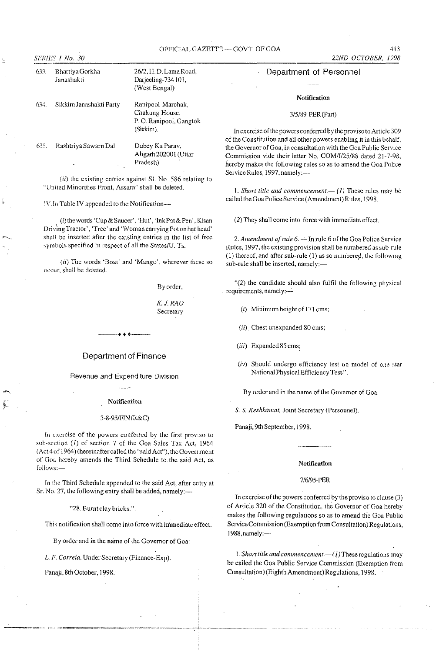## OFFICIAL GAZETTE - GOVT. OF GOA 413

633. Bhartiya Gorkha **Janashakti** 

634. Sikkim Janashakti Party

635. RashtriyaSawarn Dal

## Notification

#### *3/5/89-PER(Part)*

**In exercise** of the **powers conferred by the proviso to Article 309**  of the Constitution and all other powers enabling it in this behalf, **the Governor of Goa, in consultation with the Goa P.ublic Service**  Commission vide their letter No. *COMIII25/88* dated 21-7-98, **hereby makes the following rules so as to amend the Goa Police**  Service Rules, 1997, namely:-

1. Short title and commencement. $-$  (1) These rules may be called the Goa Police Service (Amendment) Rules, 1998.

(2) They shall come inlo force with immediate effect.

2. Amendment of rule 6. - In rule 6 of the Goa Police Service Rules, 1997, the existing provision shall be numbered as sub-rule (1) thereof, and after sub-rule (1) as so numbered, the following sub-rule shall be inserted, namely:-

"(2) the candidate should also fulfil the following physical . **requirements, namely:-**

(i) Minimum height of 171 cms;

- **(ii) Chest unexpanded 80 ems;**
- (iii) Expanded 85 cms;
- *(iv)* Should undergo efficiency test on model of one star National Physical Efficiency Test" .

**By order and in the name of the Governor of Goa.** 

**S. S.** *Keshkamat,* **Joint Secretary (Personnel).** 

Panaji, 9th September, 1998.

## **Notification**

## *7/6195-PER*

**In** exercise of the **powers conferred by-the proviso to clause (3)**  of Article 320 of the Constitution, the Governor of Goa hereby makes the following regulations so as to amend the Goa Public Service Commission (Exemption from Consultation) Regulations, 1988, namely: ---

1. Short title and commencement.—(1) These regulations may be cailed the Goa Public Service Commission (Exemption from Consultation) (Eighth Amendment) Regulations, 1998.

*(ii)* **the existing entries against Sl. No. 586 relating to "United Minorities Front, Assam" shall be deleted.** 

! V.In Table IV appended to the Notification--

(i) the words 'Cup&Saucer'. 'Hut', 'InkPot&Pen' ,Kisan Driving Tractor', 'Tree' and 'Woman carrying Pot on her head' **sha!! be inserted after the existing entries in the list of free**  symbols specified in respect of all the States/U. Ts.

*(ii)* The words 'Boat' and 'Mango', wherever these so  $\alpha$ **OCCLIT**, shall be deleted.

By order,

2612, H. D.LamaRoad, Darjeeling-734101, (West Bengal)

Ranipoo1 Marchak, **Chakung House, P. O. Ranipool, Gangtok** 

Dubey Ka Parav, A1igarh202001 (Uttar

(Sikkim).

Pradesh)

K.J.RAO **Secretary** 

Department of Finance

---++ +---

Revenue and Expenditure Division

#### **Notification**

## *5-8-95/hlN* (K&C)

In exercise of the powers conferred by the first proviso to sub-section (*I*) of section 7 of the Goa Sales Tax Act, 1964  $(Act4 of 1964)$  (hereinafter called the "said Act"), the Government of Goa hereby amends the Third Schedule to. the said ACl, as **foiiows;.-**

In the Third Schedule appended to the said Act, after entry at Sr. No. 27, the following entry shall be added, namely:-

"28. Burntelay bricks.".

**This notification shall come into force with immediate effect.** 

**By order and in the name of the Governor of Goa,** 

*L. F. Correia,* UnderSecretary (Finanee-Exp).

Panaji, 8th October, 1998.